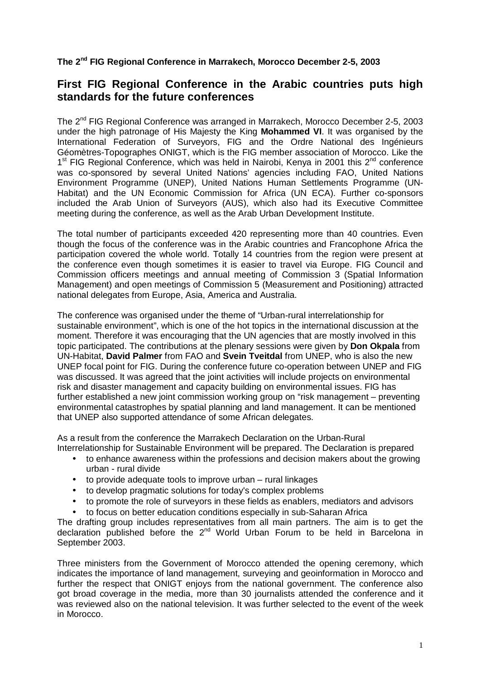**The 2nd FIG Regional Conference in Marrakech, Morocco December 2-5, 2003** 

## **First FIG Regional Conference in the Arabic countries puts high standards for the future conferences**

The 2nd FIG Regional Conference was arranged in Marrakech, Morocco December 2-5, 2003 under the high patronage of His Majesty the King **Mohammed VI**. It was organised by the International Federation of Surveyors, FIG and the Ordre National des Ingénieurs Géomètres-Topographes ONIGT, which is the FIG member association of Morocco. Like the  $1<sup>st</sup>$  FIG Regional Conference, which was held in Nairobi, Kenya in 2001 this  $2<sup>nd</sup>$  conference was co-sponsored by several United Nations' agencies including FAO, United Nations Environment Programme (UNEP), United Nations Human Settlements Programme (UN-Habitat) and the UN Economic Commission for Africa (UN ECA). Further co-sponsors included the Arab Union of Surveyors (AUS), which also had its Executive Committee meeting during the conference, as well as the Arab Urban Development Institute.

The total number of participants exceeded 420 representing more than 40 countries. Even though the focus of the conference was in the Arabic countries and Francophone Africa the participation covered the whole world. Totally 14 countries from the region were present at the conference even though sometimes it is easier to travel via Europe. FIG Council and Commission officers meetings and annual meeting of Commission 3 (Spatial Information Management) and open meetings of Commission 5 (Measurement and Positioning) attracted national delegates from Europe, Asia, America and Australia.

The conference was organised under the theme of "Urban-rural interrelationship for sustainable environment", which is one of the hot topics in the international discussion at the moment. Therefore it was encouraging that the UN agencies that are mostly involved in this topic participated. The contributions at the plenary sessions were given by **Don Okpala** from UN-Habitat, **David Palmer** from FAO and **Svein Tveitdal** from UNEP, who is also the new UNEP focal point for FIG. During the conference future co-operation between UNEP and FIG was discussed. It was agreed that the joint activities will include projects on environmental risk and disaster management and capacity building on environmental issues. FIG has further established a new joint commission working group on "risk management – preventing environmental catastrophes by spatial planning and land management. It can be mentioned that UNEP also supported attendance of some African delegates.

As a result from the conference the Marrakech Declaration on the Urban-Rural Interrelationship for Sustainable Environment will be prepared. The Declaration is prepared

- to enhance awareness within the professions and decision makers about the growing urban - rural divide
- to provide adequate tools to improve urban rural linkages
- to develop pragmatic solutions for today's complex problems
- to promote the role of surveyors in these fields as enablers, mediators and advisors
- to focus on better education conditions especially in sub-Saharan Africa

The drafting group includes representatives from all main partners. The aim is to get the declaration published before the  $2^{nd}$  World Urban Forum to be held in Barcelona in September 2003.

Three ministers from the Government of Morocco attended the opening ceremony, which indicates the importance of land management, surveying and geoinformation in Morocco and further the respect that ONIGT enjoys from the national government. The conference also got broad coverage in the media, more than 30 journalists attended the conference and it was reviewed also on the national television. It was further selected to the event of the week in Morocco.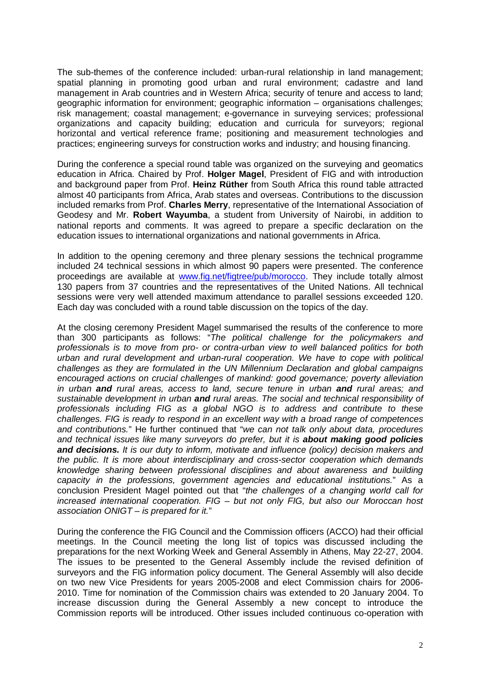The sub-themes of the conference included: urban-rural relationship in land management; spatial planning in promoting good urban and rural environment; cadastre and land management in Arab countries and in Western Africa; security of tenure and access to land; geographic information for environment; geographic information – organisations challenges; risk management; coastal management; e-governance in surveying services; professional organizations and capacity building; education and curricula for surveyors; regional horizontal and vertical reference frame; positioning and measurement technologies and practices; engineering surveys for construction works and industry; and housing financing.

During the conference a special round table was organized on the surveying and geomatics education in Africa. Chaired by Prof. **Holger Magel**, President of FIG and with introduction and background paper from Prof. **Heinz Rüther** from South Africa this round table attracted almost 40 participants from Africa, Arab states and overseas. Contributions to the discussion included remarks from Prof. **Charles Merry**, representative of the International Association of Geodesy and Mr. **Robert Wayumba**, a student from University of Nairobi, in addition to national reports and comments. It was agreed to prepare a specific declaration on the education issues to international organizations and national governments in Africa.

In addition to the opening ceremony and three plenary sessions the technical programme included 24 technical sessions in which almost 90 papers were presented. The conference proceedings are available at www.fig.net/figtree/pub/morocco. They include totally almost 130 papers from 37 countries and the representatives of the United Nations. All technical sessions were very well attended maximum attendance to parallel sessions exceeded 120. Each day was concluded with a round table discussion on the topics of the day.

At the closing ceremony President Magel summarised the results of the conference to more than 300 participants as follows: "The political challenge for the policymakers and professionals is to move from pro- or contra-urban view to well balanced politics for both urban and rural development and urban-rural cooperation. We have to cope with political challenges as they are formulated in the UN Millennium Declaration and global campaigns encouraged actions on crucial challenges of mankind: good governance; poverty alleviation in urban **and** rural areas, access to land, secure tenure in urban **and** rural areas; and sustainable development in urban **and** rural areas. The social and technical responsibility of professionals including FIG as a global NGO is to address and contribute to these challenges. FIG is ready to respond in an excellent way with a broad range of competences and contributions." He further continued that "we can not talk only about data, procedures and technical issues like many surveyors do prefer, but it is **about making good policies and decisions.** It is our duty to inform, motivate and influence (policy) decision makers and the public. It is more about interdisciplinary and cross-sector cooperation which demands knowledge sharing between professional disciplines and about awareness and building capacity in the professions, government agencies and educational institutions." As a conclusion President Magel pointed out that "the challenges of a changing world call for increased international cooperation. FIG – but not only FIG, but also our Moroccan host association ONIGT – is prepared for it."

During the conference the FIG Council and the Commission officers (ACCO) had their official meetings. In the Council meeting the long list of topics was discussed including the preparations for the next Working Week and General Assembly in Athens, May 22-27, 2004. The issues to be presented to the General Assembly include the revised definition of surveyors and the FIG information policy document. The General Assembly will also decide on two new Vice Presidents for years 2005-2008 and elect Commission chairs for 2006- 2010. Time for nomination of the Commission chairs was extended to 20 January 2004. To increase discussion during the General Assembly a new concept to introduce the Commission reports will be introduced. Other issues included continuous co-operation with